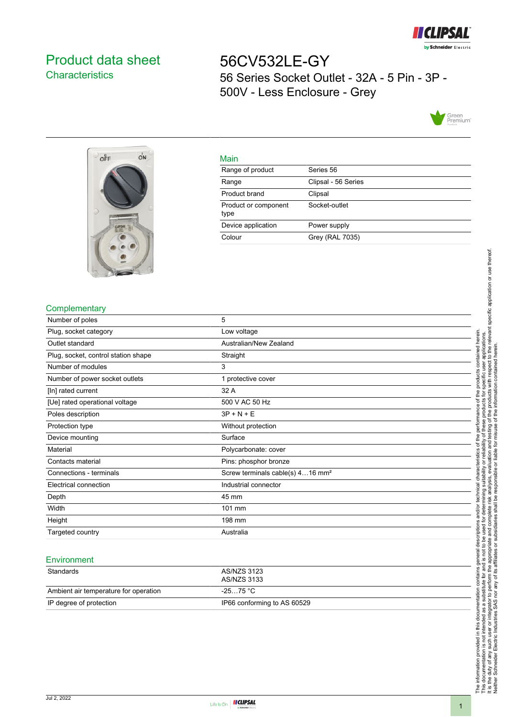

# <span id="page-0-0"></span>Product data sheet **Characteristics**

56CV532LE-GY 56 Series Socket Outlet - 32A - 5 Pin - 3P - 500V - Less Enclosure - Grey





#### Main

| .                            |                     |
|------------------------------|---------------------|
| Range of product             | Series 56           |
| Range                        | Clipsal - 56 Series |
| Product brand                | Clipsal             |
| Product or component<br>type | Socket-outlet       |
| Device application           | Power supply        |
| Colour                       | Grey (RAL 7035)     |

### **Complementary**

| Number of poles                     | 5                                            |
|-------------------------------------|----------------------------------------------|
| Plug, socket category               | Low voltage                                  |
| Outlet standard                     | Australian/New Zealand                       |
| Plug, socket, control station shape | Straight                                     |
| Number of modules                   | 3                                            |
| Number of power socket outlets      | 1 protective cover                           |
| [In] rated current                  | 32 A                                         |
| [Ue] rated operational voltage      | 500 V AC 50 Hz                               |
| Poles description                   | $3P + N + E$                                 |
| Protection type                     | Without protection                           |
| Device mounting                     | Surface                                      |
| Material                            | Polycarbonate: cover                         |
| Contacts material                   | Pins: phosphor bronze                        |
| Connections - terminals             | Screw terminals cable(s) 416 mm <sup>2</sup> |
| Electrical connection               | Industrial connector                         |
| Depth                               | 45 mm                                        |
| Width                               | 101 mm                                       |
| Height                              | 198 mm                                       |
| Targeted country                    | Australia                                    |

#### **Environment**

| Standards                             | AS/NZS 3123<br>AS/NZS 3133  |
|---------------------------------------|-----------------------------|
| Ambient air temperature for operation | -25…75 °C                   |
| IP degree of protection               | IP66 conforming to AS 60529 |